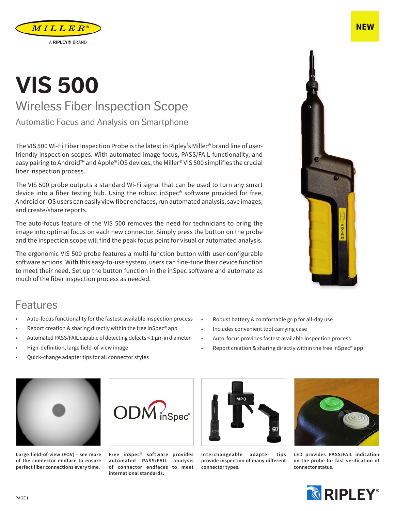## **VIS 500** Wireless Fiber Inspection Scope

Automatic Focus and Analysis on Smartphone

The VIS 500 Wi-Fi Fiber Inspection Probe is the latest in Ripley's Miller® brand line of userfriendly inspection scopes. With automated image focus, PASS/FAIL functionality, and easy pairing to Android™ and Apple® iOS devices, the Miller® VIS 500 simplifies the crucial fiber inspection process.

The VIS 500 probe outputs a standard Wi-Fi signal that can be used to turn any smart device into a fiber testing hub. Using the robust inSpec® software provided for free, Android or iOS users can easily view fiber endfaces, run automated analysis, save images, and create/share reports.

The auto-focus feature of the VIS 500 removes the need for technicians to bring the image into optimal focus on each new connector. Simply press the button on the probe and the inspection scope will find the peak focus point for visual or automated analysis.

The ergonomic VIS 500 probe features a multi-function button with user-configurable software actions. With this easy-to-use system, users can fine-tune their device function to meet their need. Set up the button function in the inSpec software and automate as much of the fiber inspection process as needed.

## Features

- Auto-focus functionality for the fastest available inspection process
- Report creation & sharing directly within the free inSpec® app
- Automated PASS/FAIL capable of detecting defects < 1 μm in diameter
- High-definition, large field-of-view image
- Quick-change adapter tips for all connector styles





 $ODM$ <sub>inSpec</sub><sup>®</sup>



• Robust battery & comfortable grip for all-day use

• Auto-focus provides fastest available inspection process

• Report creation & sharing directly within the free inSpec® app

• Includes convenient tool carrying case

**Interchangeable adapter tips provide inspection of many different connector types.**



**LED provides PASS/FAIL indication on the probe for fast verification of connector status.**